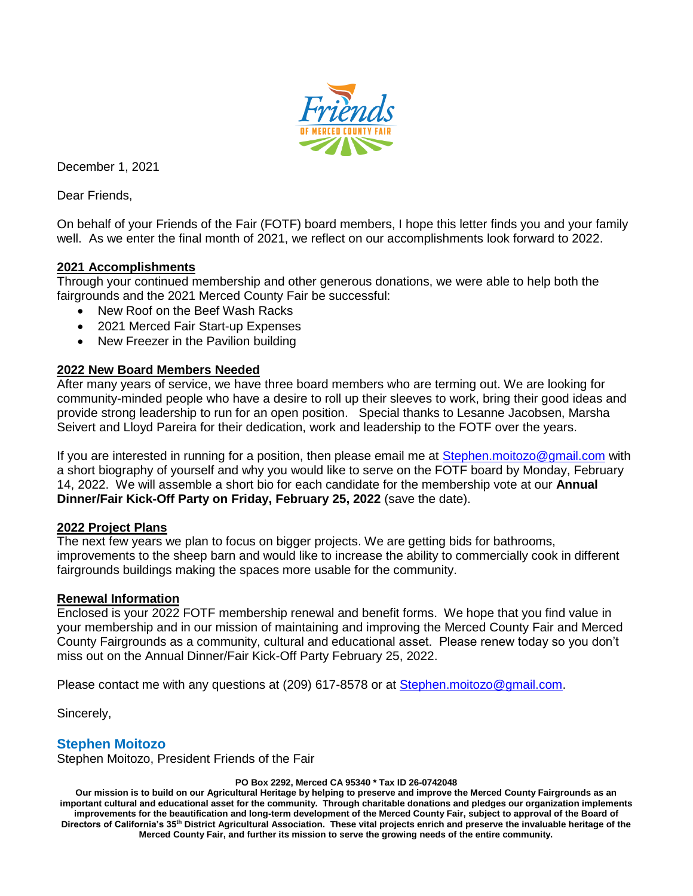

December 1, 2021

Dear Friends,

On behalf of your Friends of the Fair (FOTF) board members, I hope this letter finds you and your family well. As we enter the final month of 2021, we reflect on our accomplishments look forward to 2022.

#### **2021 Accomplishments**

Through your continued membership and other generous donations, we were able to help both the fairgrounds and the 2021 Merced County Fair be successful:

- New Roof on the Beef Wash Racks
- 2021 Merced Fair Start-up Expenses
- New Freezer in the Pavilion building

#### **2022 New Board Members Needed**

After many years of service, we have three board members who are terming out. We are looking for community-minded people who have a desire to roll up their sleeves to work, bring their good ideas and provide strong leadership to run for an open position. Special thanks to Lesanne Jacobsen, Marsha Seivert and Lloyd Pareira for their dedication, work and leadership to the FOTF over the years.

If you are interested in running for a position, then please email me at [Stephen.moitozo@gmail.com](mailto:Stephen.moitozo@gmail.com) with a short biography of yourself and why you would like to serve on the FOTF board by Monday, February 14, 2022. We will assemble a short bio for each candidate for the membership vote at our **Annual Dinner/Fair Kick-Off Party on Friday, February 25, 2022** (save the date).

#### **2022 Project Plans**

The next few years we plan to focus on bigger projects. We are getting bids for bathrooms, improvements to the sheep barn and would like to increase the ability to commercially cook in different fairgrounds buildings making the spaces more usable for the community.

#### **Renewal Information**

Enclosed is your 2022 FOTF membership renewal and benefit forms. We hope that you find value in your membership and in our mission of maintaining and improving the Merced County Fair and Merced County Fairgrounds as a community, cultural and educational asset. Please renew today so you don't miss out on the Annual Dinner/Fair Kick-Off Party February 25, 2022.

Please contact me with any questions at (209) 617-8578 or at [Stephen.moitozo@gmail.com.](mailto:Stephen.moitozo@gmail.com)

Sincerely,

#### **Stephen Moitozo**

Stephen Moitozo, President Friends of the Fair

**PO Box 2292, Merced CA 95340 \* Tax ID 26-0742048**

**Our mission is to build on our Agricultural Heritage by helping to preserve and improve the Merced County Fairgrounds as an important cultural and educational asset for the community. Through charitable donations and pledges our organization implements improvements for the beautification and long-term development of the Merced County Fair, subject to approval of the Board of Directors of California's 35th District Agricultural Association. These vital projects enrich and preserve the invaluable heritage of the Merced County Fair, and further its mission to serve the growing needs of the entire community.**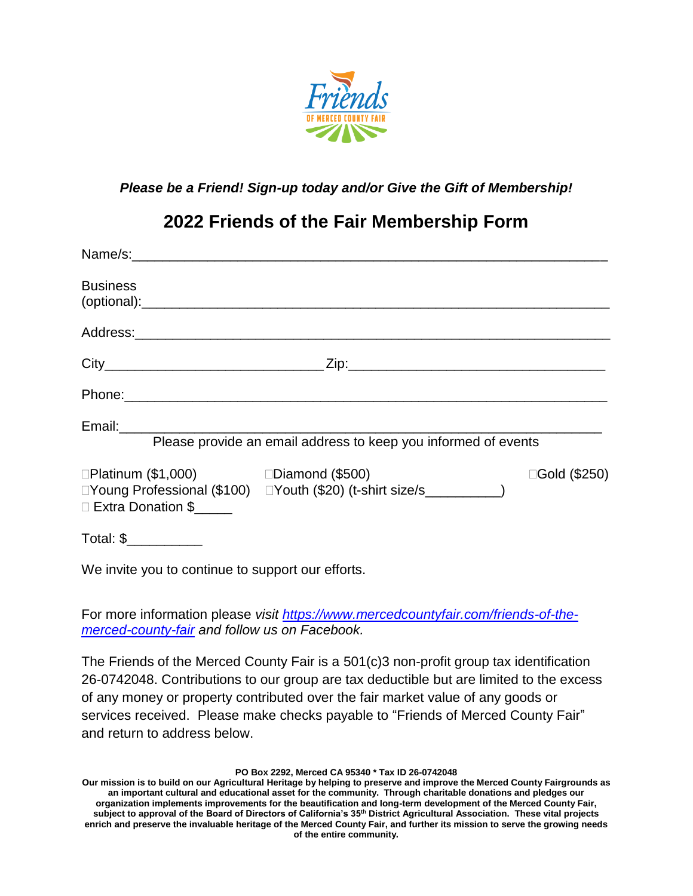

### *Please be a Friend! Sign-up today and/or Give the Gift of Membership!*

# **2022 Friends of the Fair Membership Form**

| <b>Business</b>                                                         |                                                                       |               |
|-------------------------------------------------------------------------|-----------------------------------------------------------------------|---------------|
|                                                                         |                                                                       |               |
|                                                                         |                                                                       |               |
|                                                                         |                                                                       |               |
|                                                                         | Please provide an email address to keep you informed of events        |               |
| $\Box$ Platinum (\$1,000) $\Box$ Diamond (\$500)<br>□ Extra Donation \$ | □Young Professional (\$100) □Youth (\$20) (t-shirt size/s___________) | □Gold (\$250) |
| Total: \$___________                                                    |                                                                       |               |

We invite you to continue to support our efforts.

For more information please *visit [https://www.mercedcountyfair.com/friends-of-the](https://www.mercedcountyfair.com/friends-of-the-merced-county-fair)[merced-county-fair](https://www.mercedcountyfair.com/friends-of-the-merced-county-fair) and follow us on Facebook.*

The Friends of the Merced County Fair is a 501(c)3 non-profit group tax identification 26-0742048. Contributions to our group are tax deductible but are limited to the excess of any money or property contributed over the fair market value of any goods or services received. Please make checks payable to "Friends of Merced County Fair" and return to address below.

**PO Box 2292, Merced CA 95340 \* Tax ID 26-0742048**

**Our mission is to build on our Agricultural Heritage by helping to preserve and improve the Merced County Fairgrounds as an important cultural and educational asset for the community. Through charitable donations and pledges our organization implements improvements for the beautification and long-term development of the Merced County Fair, subject to approval of the Board of Directors of California's 35th District Agricultural Association. These vital projects enrich and preserve the invaluable heritage of the Merced County Fair, and further its mission to serve the growing needs of the entire community.**